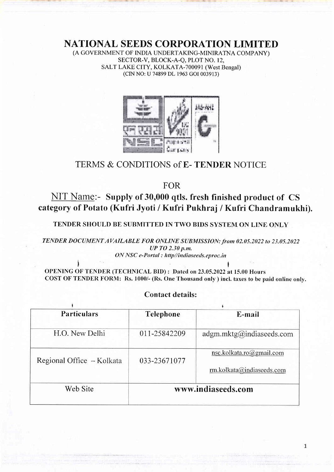NATIONAL SEEDS CORPORATION LIMITED

(A GOVERNMENT OF INDIA UNDERTAKING-MINIRATNA COMPANY) SECTOR-V, BLOCK-A-Q, PLOT NO. 12. SALT LAKE CITY, KOLKATA-700091 (West Bengal) (CIN NO: U 74899 DL 1963 cOI 003913)



# TERMS & CONDITIONS of E- TENDER NOTICE

FOR

NIT Name:- Supply of 30,000 qtls. fresh finished product of CS category of Potato (Kufri Jyoti / Kufri Pukhraj / Kufri Chandramukhi).

TENDER SHOULD BE SUBMITTED IN TWO BIDS SYSTEM ON LINE ONLY

TENDER DOCUMENT AVAILABLE FOR ONLINE SUBMISSION: from 02.05.2022 to 23.05.2022 UP TO 2.30 p.m. ON NSC e-Portal : http//indiaseeds.eproc.in

 $\int$ OPENING OF TENDER (TECHNICAL BID): Dated on 23.05.2022 at 15.00 Hours COST OF TENDER FORM: Rs. 1000/- (Rs. One Thousand only ) incl. taxes to be paid online only.

# Contact details:

| <b>Particulars</b>        | <b>Telephone</b>   | E-mail                                                |  |  |
|---------------------------|--------------------|-------------------------------------------------------|--|--|
| H.O. New Delhi            | 011-25842209       | adgm.mktg@indiaseeds.com                              |  |  |
| Regional Office - Kolkata | 033-23671077       | nsc.kolkata.ro@gmail.com<br>rm.kolkata@indiaseeds.com |  |  |
| Web Site                  | www.indiaseeds.com |                                                       |  |  |

 $\mathbf{1}$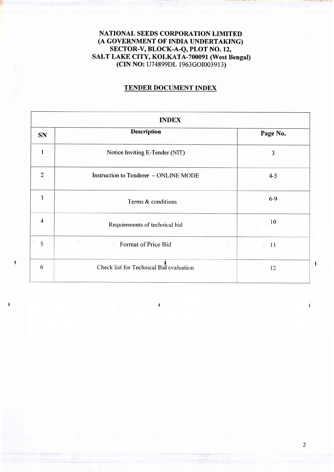# NATIONAL SEEDS CORPORATION LIMITED (A GOVERNMENT OF INDIA UNDERTAKING) sEcToR-v, BLOCK-A-Q, PLOT NO. 12, SALT LAKE CITY, KOLKATA-70009I (West Bengal) (CIN NO: U74899DL 1963cOI003913)

# TENDER DOCUMENT INDEX

| <b>INDEX</b>   |                                                                     |                       |  |  |
|----------------|---------------------------------------------------------------------|-----------------------|--|--|
| <b>SN</b>      | <b>Description</b>                                                  | Page No.              |  |  |
|                | Notice Inviting E-Tender (NIT)                                      | 3                     |  |  |
| $\overline{2}$ | Instruction to Tenderer - ONLINE MODE                               | $4 - 5$               |  |  |
| 3              | Terms & conditions                                                  | $6-9$                 |  |  |
| $\overline{4}$ | Requirements of technical bid                                       | 10                    |  |  |
| 5              | Format of Price Bid<br>÷.                                           | $\overline{11}$<br>z. |  |  |
| 57<br>6        | $\overline{\phantom{a}}$<br>Check list for Technical Bid evaluation | 12                    |  |  |

đ

2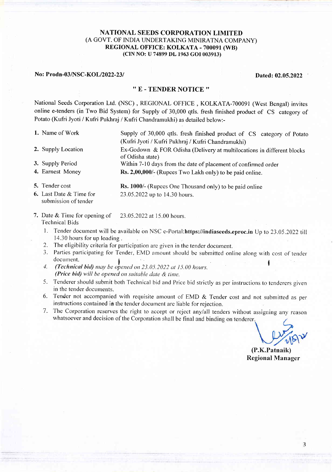#### NATIONAL SEEDS CORPORATION LIMITED (A GOVT. OF INDIA UNDERTAKING MINIRATNA COMPANY) REGIONAL OFFICE: KOLKATA - 700091 (WB) (CIN NO: U 74899 DL 1963 GOI 003913)

#### No: Prodn-03/NSC-KOL/2022-23/ Dated: 02.05.2022

### '' E - TENDER NOTICE ''

National Seeds Corporation Ltd. (NSC), RECIONAL OFFICE, KOLKATA-700091 (West Bengal) invites online e-tenders (in Two Bid System) for Supply of 30,000 qtls. fresh finished product of CS category of Potato (Kufri Jyoti / Kufri Pukhraj / Kufri Chandramukhi) as detailed below:-

- 
- 1. Name of Work Supply of 30,000 qtls. fresh finished product of CS category of Potato (Kufri Jyoti / Kufri Pukhraj / Kufri Chandramukhi)
- 2. Supply Location Ex-Godown & FOR Odisha (Delivery at multilocations in different blocks
- 3. Supply Period Within 7-10 days from the date of placement of confirmed order
- 4. Earnest Money Rs. 2,00,000/- (Rupees Two Lakh only) to be paid online.
- 5. Tender cost Rs. 1000/- (Rupees One Thousand only) to be paid online 6. Last Date & Time for 23.05.2022 up to 14.30 hours. submission of tender

of Odisha state)

- 7. Date & Time for opening of 23.05.2022 at 15.00 hours. Technical Bids
	- 1. Tender document will be available on NSC e-Portal:https://indiaseeds.eproc.in Up to 23.05.2022 till 14.30 hours for up loading.
	- 2. The eligibility criteria for participation are given in the tender document.
	- 3. Parties participating for Tender, EMD amount should be submitted online along with cost of tender document.<br>4. (Technical bid) may be opened on 23.05.2022 at 15.00 hours.
	- (Price bid) will be opened on suitable date  $&$  time.
	- 5. Tenderer should submit both Technical bid and Price bid strictly as per instructions to tenderers given in the tender documents.
	- 6. Tender not accompanied with requisite amount of EMD & Tender cost and not submitted as per instructions contained in the tender docurnent are liable for rejection.
	- <sup>7</sup>. The Corporation reserves the right to accept or reject anylall tenders without assignirg any reason whatsoever and decision of the Corporation shall be final and binding on tenderer

(P.K.Patnaik) Regional Manager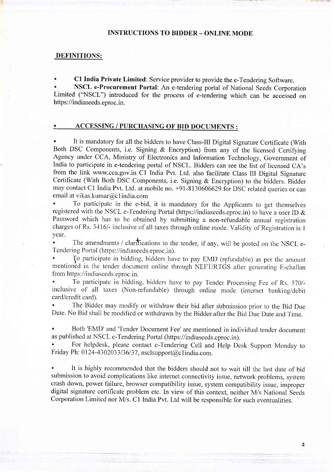#### INSTRUCTIONS TO BIDDER - ONLINE MODE

#### DEFINITIONS:

C1 India Private Limited: Service provider to provide the e-Tendering Software.

NSCL e-Procurement Portal: An e-tendering portal of National Seeds Corporation Limited ('NSCL") introduced for the process of e-tendering which can be accessed on https://indiaseeds.eproc.in.

#### . ACCESSING / PURCHASING OF BID DOCUMENTS :

It is mandatory for all the bidders to have Class-III Digital Signature Certificate (With Both DSC Components, i.e. Signing & Encryption) from any of the licensed Certifying Agency under CCA, Ministry of Electronics and Information Technology, Government of India to participate in e-tendering portal of NSCL. Bidders can see the list of licensed CA's from the link www.cca.gov.in C1 India Pvt. Ltd. also facilitate Class III Digital Signature Certificate (With Both DSC Components, i.e. Signing & Encryption) to the bidders. Bidder may contact C1 India Pvt. Ltd. at mobile no. +91-8130606629 for DSC related queries or can email at vikas.kumar@c I india.com

To participate in the e-bid, it is mandatory for the Applicants to get themselves registered with the NSCL e-Tendering Portal (https://indiaseeds.eproc.in) to have a user ID & Password which has to be obtained by submitting a non-refundable annual registration charges of Rs. 3416/- inclusive of all taxes through online mode. Validity of Registration is 1 year.

The amendments / clarifications to the tender, if any, will be posted on the NSCL e-Tendering Portal (https ://indiaseeds. eproc.in).

Jo parlicipate in bidding, bidders have to pay EMD (refundable) as per the amount mentioned in the tender document online through NEFT/RTGS after generating E-challan from https://indiaseeds.eproc.in.

' To participate in bidding, bidders have to pay Tender Processing Fee of Rs. 570/ inclusive of all taxes (Non-refundable) through online mode (internet banking/debit card/credit card).

The Bidder may modify or withdraw their bid after submission prior to the Bid Due Date. No Bid shall be modified or withdrawn by the Bidder after the Bid Due Date and Time.

Both 'EMD' and 'Tender Document Fee' are mentioned in individual tender document as published at NSCL e-Tendering Portal (https ://indiaseeds.eproc.in).

' For helpdesk, please contact e-Tendering Cell and Help Desk Support Monday to Friday Ph: 0124-4302033/36/37, nsclsupport@c1india.com.

It is highly recommended that the bidders should not to wait till the last date of bid submission to avoid complications like internet connectivity issue, network problems, system crash down, power failure, browser compatibility issue, system compatibility issue, improper digital signature certiftcate problem etc. In view of this context, neither M/s National Seeds Corporation Limited nor M/s. C1 India Pvt. Ltd will be responsible for such eventualities.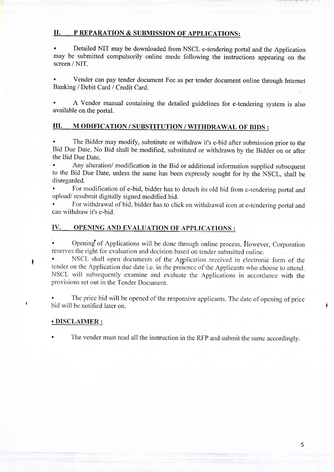### II. P REPARATION & SUBMISSION OF APPLICATIONS:

Detailed NIT may be downloaded from NSCL e-tendering portal and the Application may be submitted compulsorily online mode following the instructions appearing on the screen / NIT.

' Vender can pay tender document Fee as per tender document online through Internet Banking / Debit Card / Credit Card.

A Vendor manual containing the detailed guidelines for e-tendering system is also available on the portal.

## III. M ODIFICATION / SUBSTITUTION / WITHDRAWAL OF BIDS :

The Bidder may modify, substitute or withdraw it's e-bid after submission prior to the Bid Due Date. No Bid shall be modified, substituted or withdrawn by the Bidder on or after the Bid Due Date.

Any alteration/ modification in the Bid or additional information supplied subsequent to the Bid Due Date, unless the same has been expressly sought for by the NSCL, shall be disregarded.

For modification of e-bid, bidder has to detach its old bid from e-tendering portal and upload/ resubmit digitally signed modified bid.

For withdrawal of bid, bidder has to click on withdrawal icon at e-tendering portal and can withdraw it's e-bid.

## IV. OPENING AND EVALUATION OF APPLICATIONS :

Opening of Applications will be done through online process. However, Corporation reserves the right for evaluation and decision based on tender submitted online.

NSCL shall open documents of the Application received in electronic form of the tender on the Application due date i.e. in the presence of the Applicants who choose to attend. NSCL will subsequently examine and evaluate the Applications in accordance with the provisions set out in the Tender Document.

The price bid will be opened of the responsive applicants. The date of opening of price bid will be notified later on.

#### . DISCLAIMER :

The vender must read all the instruction in the RFP and submit the same accordingly.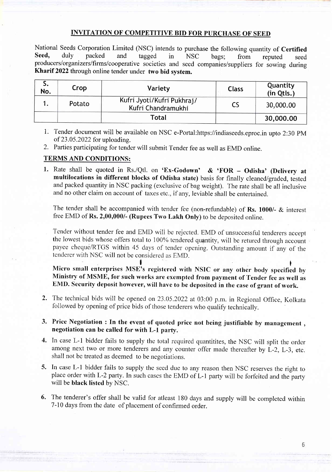# INVITATION OF COMPETITIVE BID FOR PURCHASE OF SEED

National Seeds Corporation Limited (NSC) intends to purchase the following quantity of Certified Seed, duly packed and tagged in NSC bags; from reputed seed producers/organizers/firms/cooperative societies and seed companies/suppliers for sowing during Kharif 2022 through online tender under two bid system.

| J.<br>No. | Crop   | Variety                                          | <b>Class</b> | Quantity<br>(in Qtls.) |
|-----------|--------|--------------------------------------------------|--------------|------------------------|
|           | Potato | Kufri Jyoti/Kufri Pukhraj/<br>Kufri Chandramukhi |              | 30,000.00              |
|           |        | Total                                            |              | 30,000.00              |

1. Tender document will be available on NSC e-Portal:https://indiaseeds.eproc.in upto 2:30 pM of 23.05.2022 for uploading.

2. Parties participating for tender will submit Tender fee as well as EMD online.

# TERMS AND CONDITIONS:

l. Rate shall be quoted in Rs./Qtl. on 'Ex-Godown' & 'FOR - Odisha' (Delivery at multilocations in different blocks of Odisha state) basis for finally cleaned/graded, tested and packed quantity in NSC packing (exclusive of bag weight). The rate shall be all inclusive and no other claim on account of taxes etc., if any, leviable shall be entertained.

The tender shall be accompanied with tender fee (non-refundable) of Rs. 1000/- & interest free EMD of Rs. 2,00,000/- (Rupees Two Lakh Only) to be deposited online.

Tender without tender fee and EMD will be rejected. EMD of unsuccessful tenderers accept the lowest bids whose offers total to 100% tendered quantity, will be retured through account payee cheque/RTGS within 45 days of tender opening. Outstanding amount if any of the tenderer with NSC will not be considered as EMD.

Micro small enterprises MSE's registered with NSIC or any other body specified by Ministry of MSME, for such works are exempted from payment of Tender fee as well as EMD. Security deposit however, will have to be deposited in the case of grant of work.

- 2. The technical bids will be opened on23.05.2022 at 03:00 p.m. in Regional Office, Kolkata followed by opening of price bids of those tenderers who qualify technically
- 3. Price Negotiation : In the event of quoted price not being justifiable by management , negotiation can be called for with L-l party.
- 4. In case L-1 bidder fails to supply the total required quantitites, the NSC will split the order among next two or more tenderers and any counter offer made thereafter by L-2, L-3, etc. shall not be treated as deemed to be negotiations.
- 5. In case L-l bidder fails to supply the seed due to any reason then NSC reserves the right to place order with L-2 party. In such cases the EMD of L-1 party will be forfeited and the party will be black listed by NSC.
- 6. The tenderer's offer shall be valid for atleast 180 days and supply will be completed within 7-10 days from the date of placement of confirmed order.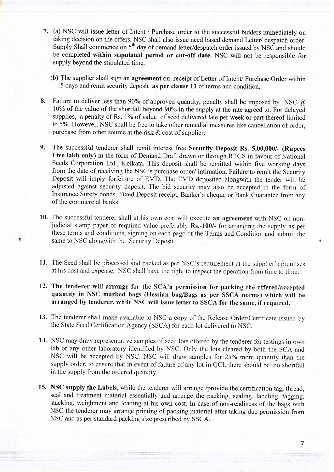- 7. (a) NSC will issue letter of Intent / Purchase order to the successful bidders immediately on taking decision on the offers. NSC shall also issue need based demand Letter/ despatch order. Supply Shall commence on  $5<sup>th</sup>$  day of demand letter/despatch order issued by NSC and should be completed within stipulated period or cut-off date. NSC will not be responsible for supply beyond the stipulated time.
	- (b) The supplier shall sign an agreement on receipt of Letter of Intent/ Purchase Order within 5 days and remit security deposit as per clause 11 of terms and condition.
- Failure to deliver less than 90% of approved quantity, penalty shall be imposed by NSC  $\omega$ 10% of the value of the shortfall beyond 90% in the supply at the rate agreed to. For delayed supplies, a penalty of Rs. 1% of value of seed delivered late per week or part thereof limited to 5%. However, NSC shall be free to take other remedial measures like cancellation of order, purchase from other source at the risk  $\&$  cost of supplier. 8.
- The successful tenderer shall remit interest free Security Deposit Rs. 5,00,000/- (Rupees Five lakh only) in the form of Demand Draft drawn or through RTGS in favour of National Seeds Corporation Ltd., Kolkata. This deposit shall be remitted within five working days from the date of receiving the NSC's purchase order/ intimation. Failure to remit the Security Deposit will imply forfeiture of EMD. The EMD deposited alongwith the tender will be adjusted against security deposit. The bid security may also be accepted in the form of Insurance Surety bonds, Fixed Deposit receipt, Banker's cheque or Bank Guarantee from any of the commercial banks. 9.
- 10. The successful tenderer shall at his own cost will execute an agreement with NSC on nonjudicial stamp paper of required value preferably Rs.-100/- for arranging the supply as per these terms and conditions, signing on each page of the Terms and Condition and submit the same to NSC alongwith the' Security Deposit.
- 11. The Seed shall be processed and packed as per NSC's requirement at the supplier's premises at his cost and expense. NSC shall have the right to inspect the operation from lime to time.
- 12. The tenderer will arrange for the SCA'a permission for packing the offered/accepted quantity in NSC marked bags (Hessian bag/Bags as per SSCA norms) which will be arranged by tenderer, while NSC will issue letter to SSCA for the same, if required.
- 13. The tenderer shall make available to NSC a copy of the Release Order/Certificate issued by the State Seed certification Agency (sscA) for each lot delivered to NSC.
- 14. NSC may draw representative samples of seed lots offered by the tenderer for testings in own lab or any other laboratory identified by NSC. Only the lots cleared by both the SCA and NSC will be accepted by NSC. NSC will draw samples for 25Yo more quantity than the supply order, to ensure that in event of failure of any lot in QCL there should be no shortfall in the supply from the ordered quantity.
- 15. NSC supply the Labels, while the tenderer will arrange /provide the certification tag, thread, seal and treatment material essentially and arrange the packing, sealing, labeling, tagging, stacking, weighment and loading at his own cost. In case of non-readiness of the bags with NSC the tenderer may arrange printing of packing material after taking due permission from NSC and as per standard packing size prescribed by SSCA.

7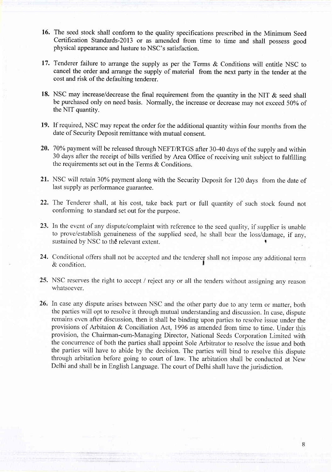- 16. The seed stock shall conform to the quality specifications prescribed in the Minimum Seed Certification Standards-2Ol3 or as amended from time to time and shall possess good physical appearance and lusture to NSC's satisfaction.
- 17. Tenderer failure to arrange the supply as per the Terms & Conditions will entitle NSC to cancel the order and arrange the supply of material from the next party in the tender at the cost and risk of the defaulting tenderer.
- 18. NSC may increase/decrease the final requirement from the quantity in the NIT  $\&$  seed shall be purchased only on need basis. Normally, the increase or decrease may not exceed 50% of the NIT quantity.
- 19. If required, NSC may repeat the order for the additional quantity within four months from the date of Security Deposit remittance with mutual consent.
- 20. 70% payment will be released through NEFT/RTGS after 30-40 days of the supply and within 30 days after the receipt of bills verified by Area Office of receiving unit subject to fulhlling the requirements set out in the Terms & Conditions.
- 21. NSC will retain 30% payment along with the Security Deposit for 120 days from the date of last supply as performance guarantee.
- 22. The Tenderer shall, at his cost, take back part or full quantity of such stock found not conforming to standard set out for the purpose.
- 23. In the event of any dispute/complaint with reference to the seed quality, if supplier is unable to prove/establish genuineness of the supplied seed, he shall bear the loss/damage, if any, sustained by NSC to the relevant extent.
- Conditional offers shall not be accepted and the tenderer shall not inrpose anv additjonal tenn  $\&$  condition. 24.
- 25. NSC reserves the right to accept / reject any or all the tenders without assigning any reason whatsoever.
- 26. In case any dispute arises between NSC and the other party due to any term or matter, both the parties will opt to resolve it through mutual understanding and discussion. In case, dispute remains even after discussion, then it shall be binding upon parties to resolve issue under the provisions of Arbitaion & Conciliation Act, 1996 as amended from time to time. Under this provision, the Chairman-cum-Managing Director, National Seeds Corporation Limited with the concurrence of both the parties shall appoint Sole Arbitrator to resolve the issue and both the parties will have to abide by the decision. The parties will bind to resolve this dispute through arbitation before going to court of law. The arbitation shall be conducted at New Delhi and shall be in English Language. The court of Delhi shall have the jurisdiction.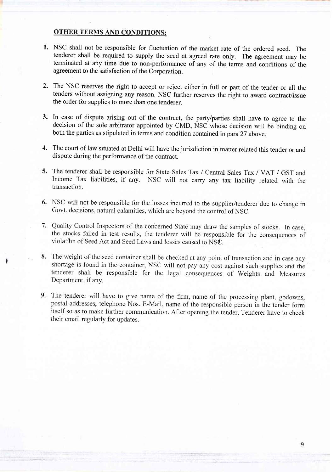# OTHER TERMS AND CONDITIONS:

- 1. NSC shall not be responsible for fluctuation of the market rate of the ordered seed. The tenderer shall be required to supply the seed at agreed rate only. The agreement may be terminated at any time due to non-performance of any of the terms and conditions of the agreement to the satisfaction of the Corporation.
- 2. The NSC reserves the right to accept or reject either in full or part of the tender or all the tenders without assigning any reason. NSC further reserves the right to award contract/issue the order for supplies to more than one tenderer.
- 3. In case of dispute arising out of the contract, the party/parties shall have to agree to the decision of the sole arbitrator appointed by CMD, NSC whose decision will be binding on both the parties as stipulated in terms and condition contained in para 27 above.
- The court of law situated at Delhi will have the jurisdiction in matter related this tender or and 4. dispute during the performance of the contract.
- 5. The tenderer shall be responsible for State Sales Tax / Central Sales Tax / VAT / GST and Income Tax liabilities, if any. NSC will not carry any tax liability related with the transaction.
- NSC will not be responsible for the losses incurred to the supplier/tenderer due to change in 6. Govt. decisions, natural calamities, which are beyond the control of NSC.
- 7. Quality Control Inspectors of the concerned State may draw the samples of stocks. In case the stocks failed in test results, the tenderer will be responsible for the consequences of violation of Seed Act and Seed Laws and losses caused to NSC.
- 8. The weight of the seed container shall be checked at any point of transaction and in case any shoftage is found in the container, NSC will not pay any cost against such supplies and the' tenderer shall be responsible for the legal consequences of Weights and Measures Department, if any.
- 9. The tenderer will have to give name of the firm, name of the processing plant, godowns, postal addresses, telephone Nos. E-Mail, name of the responsible person in the tender form itself so as to make further communication. After opening the tender, Tenderer have to check their email regularly for updates.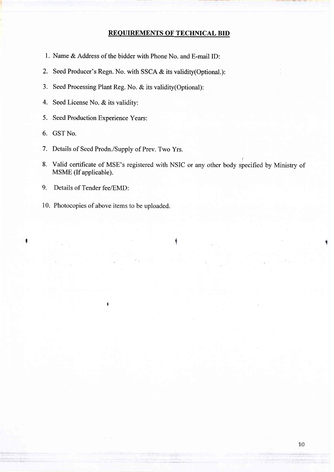# REOUIREMENTS OF TECHNICAL BID

- 1. Name & Address of the bidder with Phone No. and E-mail ID:
- 2. Seed Producer's Regn. No. with SSCA  $&$  its validity(Optional.):
- 3. Seed Processing Plant Reg. No. & its validity(Optional):
- 4. Seed License No. & its validity:
- 5. Seed Production Experience Years:
- 6. GST No.
- 7. Details of Seed Prodn./Supply of Prev. Two Yrs.
- 8. Valid certificate of MSE's registered with NSIC or any other body specified by Ministry of MSME (If applicable).

t

- 9. Details of Tender fee/EMD:
- 10. Photocopies of above items to be uploaded.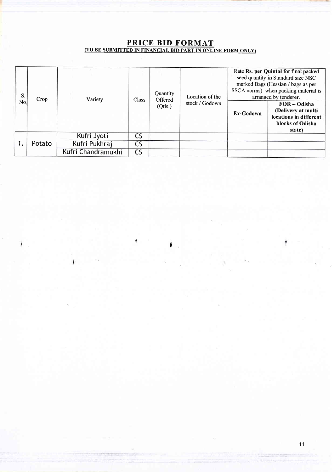# PRICE BID FORMAT (TO BE SUBMITTED IN FINANCIAL BID PART IN ONLINE FORM ONLY)

| S.<br>No. | Crop   | Variety            | <b>Class</b>             | Quantity<br>Offered<br>(Qtls.) | Location of the<br>stock / Godown |           | Rate Rs. per Quintal for final packed<br>seed quantity in Standard size NSC<br>marked Bags (Hessian / bags as per<br>SSCA norms) when packing material is<br>arranged by tenderer.<br>$FOR - Odisha$<br>(Delivery at multi |
|-----------|--------|--------------------|--------------------------|--------------------------------|-----------------------------------|-----------|----------------------------------------------------------------------------------------------------------------------------------------------------------------------------------------------------------------------------|
|           |        |                    |                          |                                |                                   | Ex-Godown | locations in different<br>blocks of Odisha<br>state)                                                                                                                                                                       |
|           | Potato | Kufri Jyoti        | <b>CS</b>                |                                |                                   |           |                                                                                                                                                                                                                            |
|           |        | Kufri Pukhraj      | $\mathsf{CS}\phantom{0}$ |                                |                                   |           |                                                                                                                                                                                                                            |
|           |        | Kufri Chandramukhi | <b>CS</b>                |                                |                                   |           |                                                                                                                                                                                                                            |

۱

'r

1.1.